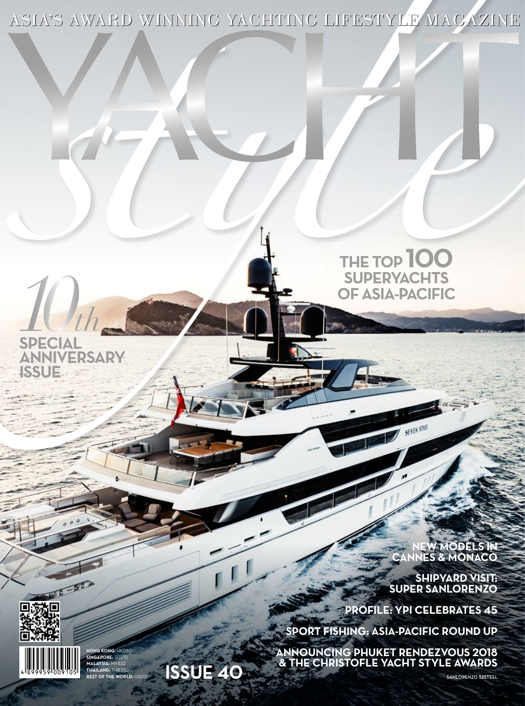ASIA'S AWARD WINNING YACHTING LIFESTYLE MAGAZINE

## **THE TOP 100 SUPERYACHTS<br>OF ASIA-PACIFIC OF ASIA-PACIFIC**<br>SPECIAL

**SPECIAL ANNIVERSARY ISSUE**

> **NEW MODELS IN CANNES & MONACO**

**SHIPYARD VISIT: SUPER SANLORENZO**

**PROFILE: YPI CELEBRATES 45** 

SEVEN STIS

**SPORT FISHING: ASIA-PACIFIC ROUND UP**

**ANNOUNCING PHUKET RENDEZVOUS 2018 & THE CHRISTOFLE YACHT STYLE AWARDS**



 $-5$ 

**HONG KONG:** HKD80 **SINGAPORE:** SGD12 **MALAYSIA:** MYR32 **THAILAND:** THB350 **REST OF THE WORLD:** USD12

**ISSUE 40**

SANLORENZO 52STEEL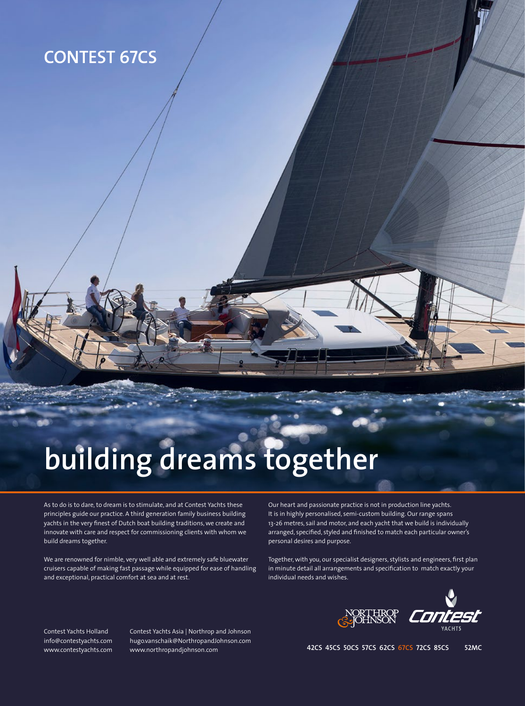### **CONTEST 67CS**

# **building dreams together**

As to do is to dare, to dream is to stimulate, and at Contest Yachts these principles guide our practice. A third generation family business building yachts in the very finest of Dutch boat building traditions, we create and innovate with care and respect for commissioning clients with whom we build dreams together.

We are renowned for nimble, very well able and extremely safe bluewater cruisers capable of making fast passage while equipped for ease of handling and exceptional, practical comfort at sea and at rest.

Our heart and passionate practice is not in production line yachts. It is in highly personalised, semi-custom building. Our range spans 13-26 metres, sail and motor, and each yacht that we build is individually arranged, specified, styled and finished to match each particular owner's personal desires and purpose.

Together, with you, our specialist designers, stylists and engineers, first plan in minute detail all arrangements and specification to match exactly your individual needs and wishes.



Contest Yachts Holland info@contestyachts.com www.contestyachts.com Contest Yachts Asia | Northrop and Johnson hugo.vanschaik@NorthropandJohnson.com www.northropandjohnson.com

**42CS 45CS 50CS 57CS 62CS 67CS 72CS 85CS 52MC**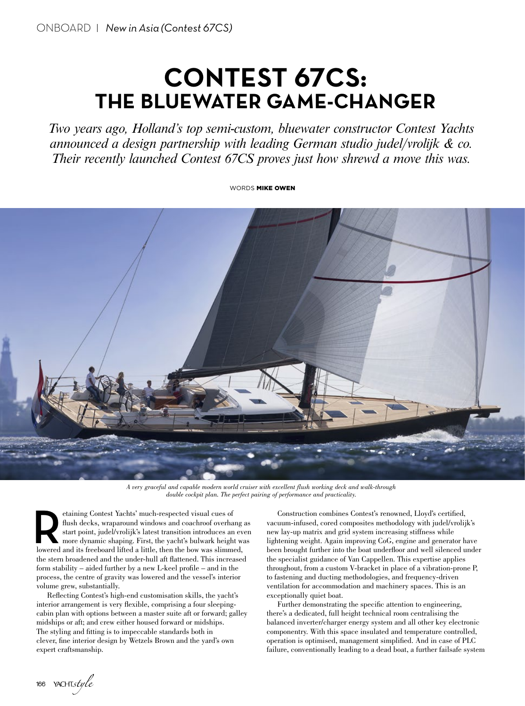## **CONTEST 67CS: THE BLUEWATER GAME-CHANGER**

*Two years ago, Holland's top semi-custom, bluewater constructor Contest Yachts announced a design partnership with leading German studio judel/vrolijk & co. Their recently launched Contest 67CS proves just how shrewd a move this was.* 

WORDS **MIKE OWEN** 



*A very graceful and capable modern world cruiser with excellent flush working deck and walk-through double cockpit plan. The perfect pairing of performance and practicality.*

etaining Contest Yachts' much-respected visual cues of flush decks, wraparound windows and coachroof overhang as start point, judel/vrolijk's latest transition introduces an even more dynamic shaping. First, the yacht's bulwark height was lowered and its freeboard lifted a little, then the bow was slimmed, the stern broadened and the under-hull aft flattened. This increased form stability – aided further by a new L-keel profile – and in the process, the centre of gravity was lowered and the vessel's interior volume grew, substantially.

Reflecting Contest's high-end customisation skills, the yacht's interior arrangement is very flexible, comprising a four sleepingcabin plan with options between a master suite aft or forward; galley midships or aft; and crew either housed forward or midships. The styling and fitting is to impeccable standards both in clever, fine interior design by Wetzels Brown and the yard's own expert craftsmanship.

Construction combines Contest's renowned, Lloyd's certified, vacuum-infused, cored composites methodology with judel/vrolijk's new lay-up matrix and grid system increasing stiffness while lightening weight. Again improving CoG, engine and generator have been brought further into the boat underfloor and well silenced under the specialist guidance of Van Cappellen. This expertise applies throughout, from a custom V-bracket in place of a vibration-prone P, to fastening and ducting methodologies, and frequency-driven ventilation for accommodation and machinery spaces. This is an exceptionally quiet boat.

Further demonstrating the specific attention to engineering, there's a dedicated, full height technical room centralising the balanced inverter/charger energy system and all other key electronic componentry. With this space insulated and temperature controlled, operation is optimised, management simplified. And in case of PLC failure, conventionally leading to a dead boat, a further failsafe system